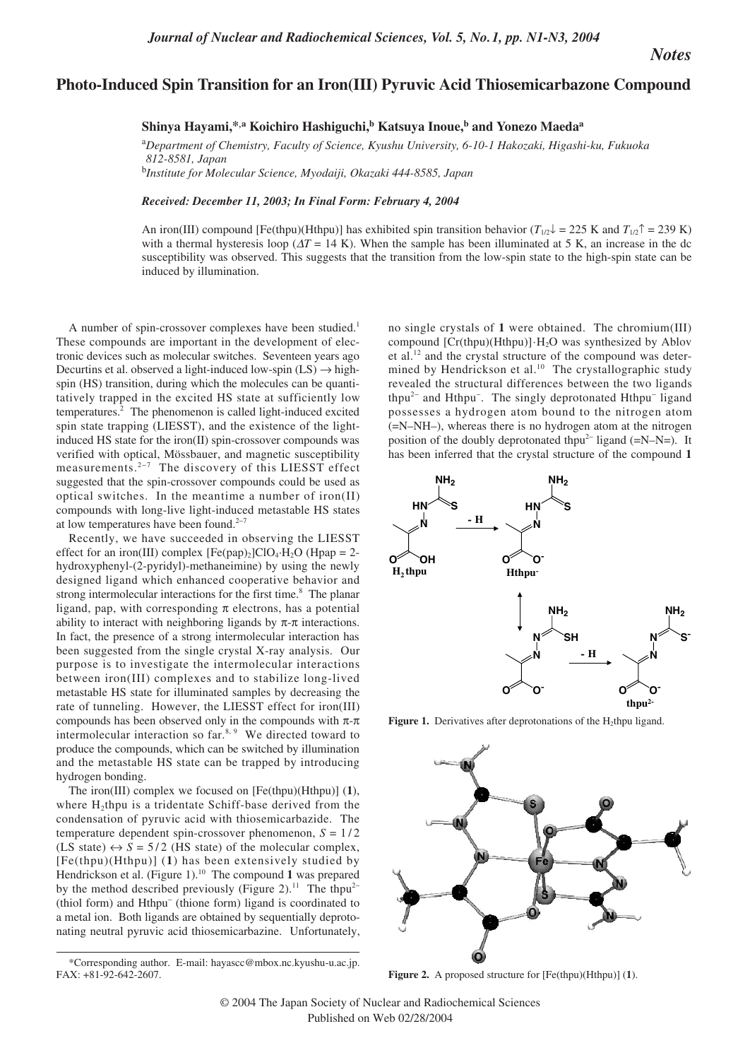*Notes*

## **Photo-Induced Spin Transition for an Iron(III) Pyruvic Acid Thiosemicarbazone Compound**

**Shinya Hayami,\*,a Koichiro Hashiguchi,<sup>b</sup> Katsuya Inoue,<sup>b</sup> and Yonezo Maeda<sup>a</sup>**

a *Department of Chemistry, Faculty of Science, Kyushu University, 6-10-1 Hakozaki, Higashi-ku, Fukuoka 812-8581, Japan*  b *Institute for Molecular Science, Myodaiji, Okazaki 444-8585, Japan*

*Received: December 11, 2003; In Final Form: February 4, 2004*

An iron(III) compound [Fe(thpu)(Hthpu)] has exhibited spin transition behavior ( $T_{1/2}$ <sup>1</sup> = 225 K and  $T_{1/2}$ <sup> $\uparrow$ </sup> = 239 K) with a thermal hysteresis loop ( $\Delta T = 14$  K). When the sample has been illuminated at 5 K, an increase in the dc susceptibility was observed. This suggests that the transition from the low-spin state to the high-spin state can be induced by illumination.

A number of spin-crossover complexes have been studied.<sup>1</sup> These compounds are important in the development of electronic devices such as molecular switches. Seventeen years ago Decurtins et al. observed a light-induced low-spin  $(LS) \rightarrow high$ spin (HS) transition, during which the molecules can be quantitatively trapped in the excited HS state at sufficiently low temperatures.2 The phenomenon is called light-induced excited spin state trapping (LIESST), and the existence of the lightinduced HS state for the iron(II) spin-crossover compounds was verified with optical, Mössbauer, and magnetic susceptibility measurements.2<sup>−</sup><sup>7</sup> The discovery of this LIESST effect suggested that the spin-crossover compounds could be used as optical switches. In the meantime a number of iron(II) compounds with long-live light-induced metastable HS states at low temperatures have been found.<sup>2−7</sup>

Recently, we have succeeded in observing the LIESST effect for an iron(III) complex  $[Fe(pap)_2]ClO_4·H_2O$  (Hpap = 2hydroxyphenyl-(2-pyridyl)-methaneimine) by using the newly designed ligand which enhanced cooperative behavior and strong intermolecular interactions for the first time.<sup>8</sup> The planar ligand, pap, with corresponding  $\pi$  electrons, has a potential ability to interact with neighboring ligands by  $\pi$ - $\pi$  interactions. In fact, the presence of a strong intermolecular interaction has been suggested from the single crystal X-ray analysis. Our purpose is to investigate the intermolecular interactions between iron(III) complexes and to stabilize long-lived metastable HS state for illuminated samples by decreasing the rate of tunneling. However, the LIESST effect for iron(III) compounds has been observed only in the compounds with  $\pi$ -π intermolecular interaction so  $far<sup>8, 9</sup>$  We directed toward to produce the compounds, which can be switched by illumination and the metastable HS state can be trapped by introducing hydrogen bonding.

The iron(III) complex we focused on [Fe(thpu)(Hthpu)] (**1**), where  $H_2$ thpu is a tridentate Schiff-base derived from the condensation of pyruvic acid with thiosemicarbazide. The temperature dependent spin-crossover phenomenon,  $S = 1/2$ (LS state)  $\leftrightarrow$  *S* = 5/2 (HS state) of the molecular complex, [Fe(thpu)(Hthpu)] (**1**) has been extensively studied by Hendrickson et al. (Figure 1).<sup>10</sup> The compound 1 was prepared by the method described previously (Figure 2).<sup>11</sup> The thpu<sup>2−</sup> (thiol form) and Hthpu<sup>−</sup> (thione form) ligand is coordinated to a metal ion. Both ligands are obtained by sequentially deprotonating neutral pyruvic acid thiosemicarbazine. Unfortunately,

no single crystals of **1** were obtained. The chromium(III) compound  $[Cr(thpu)(Hthpu)]·H<sub>2</sub>O$  was synthesized by Ablov et al.<sup>12</sup> and the crystal structure of the compound was determined by Hendrickson et al.<sup>10</sup> The crystallographic study revealed the structural differences between the two ligands thpu<sup>2−</sup> and Hthpu<sup>-</sup>. The singly deprotonated Hthpu<sup>-</sup> ligand possesses a hydrogen atom bound to the nitrogen atom (=N–NH–), whereas there is no hydrogen atom at the nitrogen position of the doubly deprotonated thpu<sup>2−</sup> ligand (=N–N=). It has been inferred that the crystal structure of the compound **1**



**Figure 1.** Derivatives after deprotonations of the  $H_2$ thpu ligand.



**Figure 2.** A proposed structure for [Fe(thpu)(Hthpu)] (**1**).

<sup>\*</sup>Corresponding author. E-mail: hayascc@mbox.nc.kyushu-u.ac.jp. FAX: +81-92-642-2607.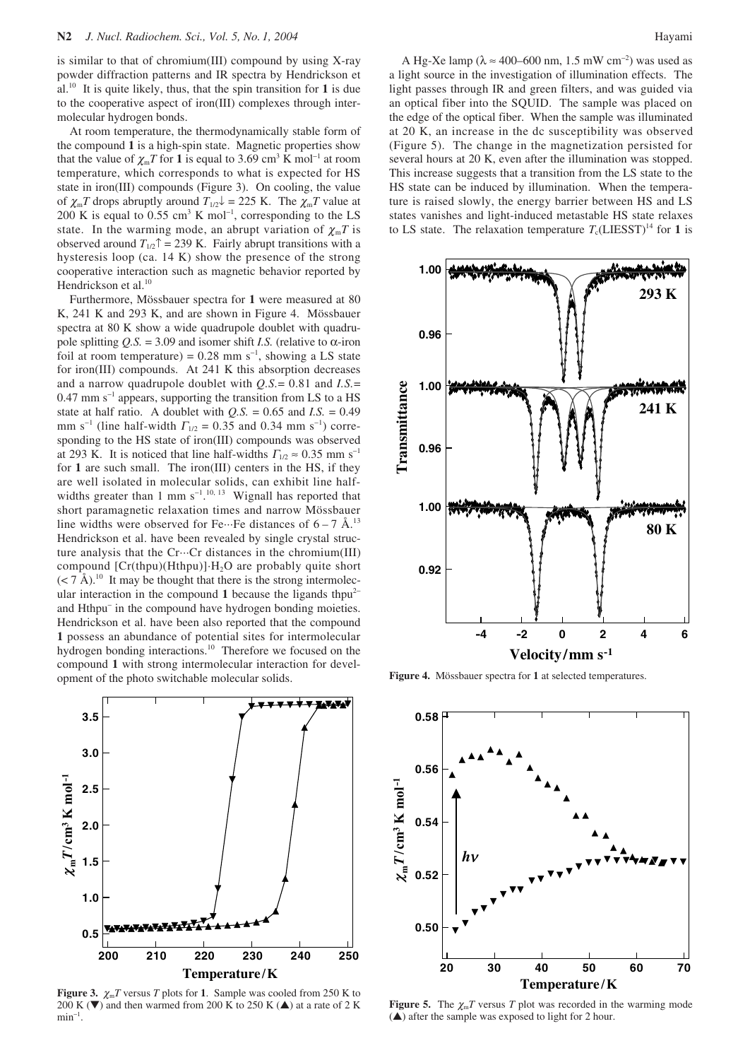is similar to that of chromium(III) compound by using X-ray powder diffraction patterns and IR spectra by Hendrickson et al.10 It is quite likely, thus, that the spin transition for **1** is due to the cooperative aspect of iron(III) complexes through intermolecular hydrogen bonds.

At room temperature, the thermodynamically stable form of the compound **1** is a high-spin state. Magnetic properties show that the value of  $\chi_{m}T$  for **1** is equal to 3.69 cm<sup>3</sup> K mol<sup>-1</sup> at room temperature, which corresponds to what is expected for HS state in iron(III) compounds (Figure 3). On cooling, the value of  $\chi_{\rm m}T$  drops abruptly around  $T_{1/2}$  = 225 K. The  $\chi_{\rm m}T$  value at 200 K is equal to 0.55 cm<sup>3</sup> K mol<sup>-1</sup>, corresponding to the LS state. In the warming mode, an abrupt variation of  $\chi_m T$  is observed around  $T_{1/2}$ <sup> $\uparrow$ </sup> = 239 K. Fairly abrupt transitions with a hysteresis loop (ca. 14 K) show the presence of the strong cooperative interaction such as magnetic behavior reported by Hendrickson et al.<sup>10</sup>

Furthermore, Mössbauer spectra for **1** were measured at 80 K, 241 K and 293 K, and are shown in Figure 4. Mössbauer spectra at 80 K show a wide quadrupole doublet with quadrupole splitting  $Q.S. = 3.09$  and isomer shift *I.S.* (relative to  $\alpha$ -iron foil at room temperature) =  $0.28$  mm s<sup>-1</sup>, showing a LS state for iron(III) compounds. At 241 K this absorption decreases and a narrow quadrupole doublet with *Q.S.*= 0.81 and *I.S.*= 0.47 mm s<sup>−</sup><sup>1</sup> appears, supporting the transition from LS to a HS state at half ratio. A doublet with  $Q.S. = 0.65$  and  $I.S. = 0.49$ mm s<sup>-1</sup> (line half-width  $\Gamma_{1/2} = 0.35$  and 0.34 mm s<sup>-1</sup>) corresponding to the HS state of iron(III) compounds was observed at 293 K. It is noticed that line half-widths  $\Gamma_{1/2} \approx 0.35$  mm s<sup>-1</sup> for **1** are such small. The iron(III) centers in the HS, if they are well isolated in molecular solids, can exhibit line halfwidths greater than 1 mm  $s^{-1}$ .<sup>10, 13</sup> Wignall has reported that short paramagnetic relaxation times and narrow Mössbauer line widths were observed for Fe $\cdots$ Fe distances of 6 – 7 Å.<sup>13</sup> Hendrickson et al. have been revealed by single crystal structure analysis that the Cr···Cr distances in the chromium(III) compound  $[Cr(thpu)(Hthpu)]·H<sub>2</sub>O$  are probably quite short  $(< 7 \text{ Å})$ .<sup>10</sup> It may be thought that there is the strong intermolecular interaction in the compound 1 because the ligands thpu<sup>2-</sup> and Hthpu<sup>−</sup> in the compound have hydrogen bonding moieties. Hendrickson et al. have been also reported that the compound **1** possess an abundance of potential sites for intermolecular hydrogen bonding interactions.<sup>10</sup> Therefore we focused on the compound **1** with strong intermolecular interaction for development of the photo switchable molecular solids.



**Figure 3.**  $\chi_{m}T$  versus *T* plots for 1. Sample was cooled from 250 K to 200 K ( $\nabla$ ) and then warmed from 200 K to 250 K ( $\triangle$ ) at a rate of 2 K  $min^{-1}$ .

A Hg-Xe lamp ( $\lambda \approx 400-600$  nm, 1.5 mW cm<sup>-2</sup>) was used as a light source in the investigation of illumination effects. The light passes through IR and green filters, and was guided via an optical fiber into the SQUID. The sample was placed on the edge of the optical fiber. When the sample was illuminated at 20 K, an increase in the dc susceptibility was observed (Figure 5). The change in the magnetization persisted for several hours at 20 K, even after the illumination was stopped. This increase suggests that a transition from the LS state to the HS state can be induced by illumination. When the temperature is raised slowly, the energy barrier between HS and LS states vanishes and light-induced metastable HS state relaxes to LS state. The relaxation temperature  $T_c$ (LIESST)<sup>14</sup> for **1** is



**Figure 4.** Mössbauer spectra for **1** at selected temperatures.



**Figure 5.** The  $\chi_{\text{m}}T$  versus *T* plot was recorded in the warming mode (▲) after the sample was exposed to light for 2 hour.